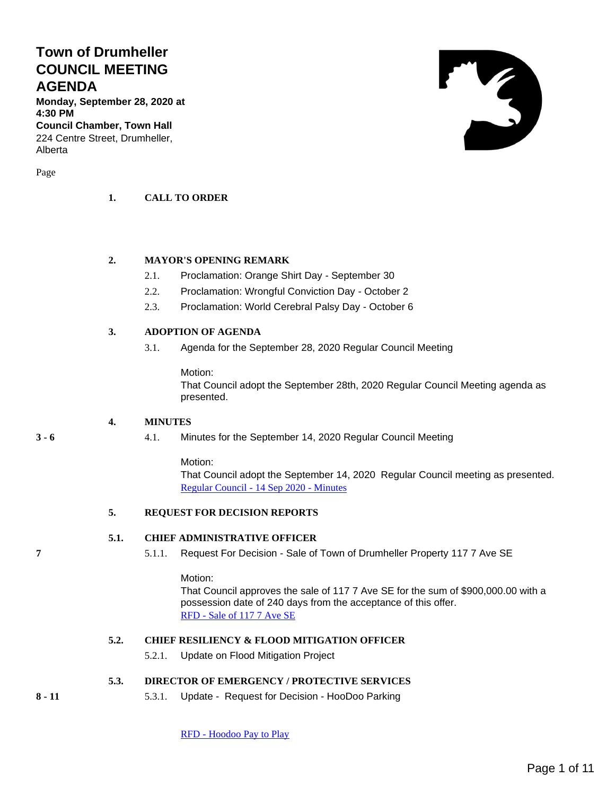## **Town of Drumheller COUNCIL MEETING AGENDA**

**Monday, September 28, 2020 at 4:30 PM**

**Council Chamber, Town Hall** 224 Centre Street, Drumheller, Alberta

Page

### **1. CALL TO ORDER**

### **2. MAYOR'S OPENING REMARK**

- 2.1. Proclamation: Orange Shirt Day September 30
- 2.2. Proclamation: Wrongful Conviction Day October 2
- 2.3. Proclamation: World Cerebral Palsy Day October 6

### **3. ADOPTION OF AGENDA**

3.1. Agenda for the September 28, 2020 Regular Council Meeting

#### Motion:

That Council adopt the September 28th, 2020 Regular Council Meeting agenda as presented.

### **4. MINUTES**

**3 - 6** 4.1. Minutes for the September 14, 2020 Regular Council Meeting

### Motion:

That Council adopt the September 14, 2020 Regular Council meeting as presented. [Regular Council -](#page-2-0) 14 Sep 2020 - Minutes

### **5. REQUEST FOR DECISION REPORTS**

### **5.1. CHIEF ADMINISTRATIVE OFFICER**

**7** 5.1.1. Request For Decision - Sale of Town of Drumheller Property 117 7 Ave SE

Motion:

That Council approves the sale of 117 7 Ave SE for the sum of \$900,000.00 with a possession date of 240 days from the acceptance of this offer. RFD - [Sale of 117 7 Ave SE](#page-6-0)

## **5.2. CHIEF RESILIENCY & FLOOD MITIGATION OFFICER**

5.2.1. Update on Flood Mitigation Project

**5.3. DIRECTOR OF EMERGENCY / PROTECTIVE SERVICES**

**8 - 11** 5.3.1. Update - Request for Decision - HooDoo Parking

RFD - [Hoodoo Pay to Play](#page-7-0)

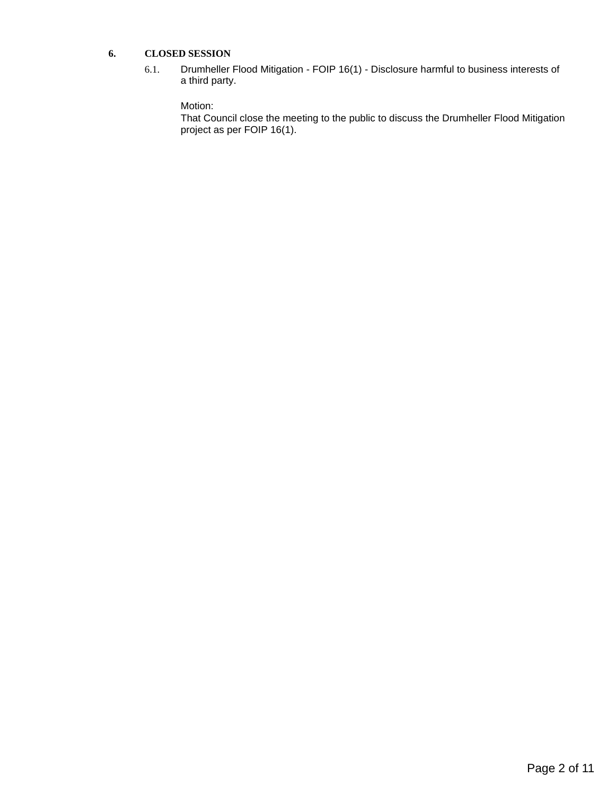### **6. CLOSED SESSION**

6.1. Drumheller Flood Mitigation - FOIP 16(1) - Disclosure harmful to business interests of a third party.

### Motion:

That Council close the meeting to the public to discuss the Drumheller Flood Mitigation project as per FOIP 16(1).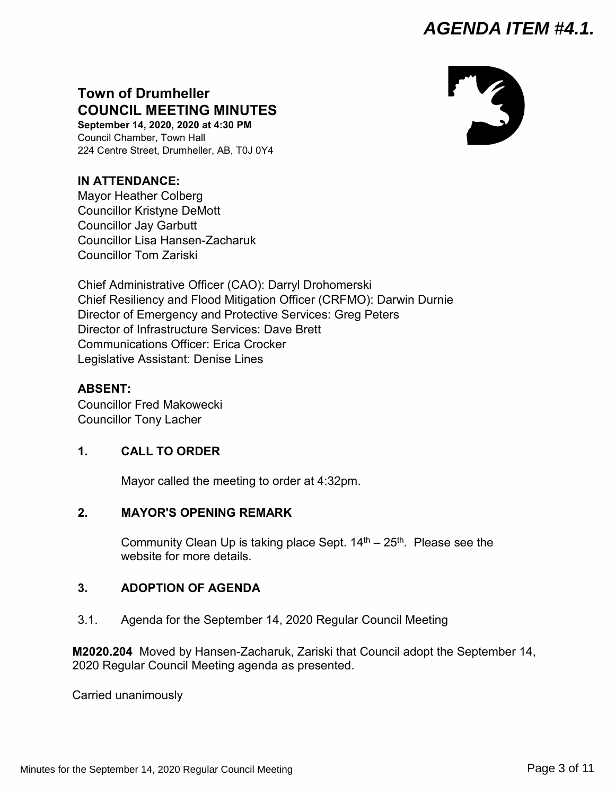## <span id="page-2-0"></span>**Town of Drumheller COUNCIL MEETING MINUTES**

**September 14, 2020, 2020 at 4:30 PM** Council Chamber, Town Hall 224 Centre Street, Drumheller, AB, T0J 0Y4

## **IN ATTENDANCE:**

Mayor Heather Colberg Councillor Kristyne DeMott Councillor Jay Garbutt Councillor Lisa Hansen-Zacharuk Councillor Tom Zariski

Chief Administrative Officer (CAO): Darryl Drohomerski Chief Resiliency and Flood Mitigation Officer (CRFMO): Darwin Durnie Director of Emergency and Protective Services: Greg Peters Director of Infrastructure Services: Dave Brett Communications Officer: Erica Crocker Legislative Assistant: Denise Lines

## **ABSENT:**

Councillor Fred Makowecki Councillor Tony Lacher

## **1. CALL TO ORDER**

Mayor called the meeting to order at 4:32pm.

## **2. MAYOR'S OPENING REMARK**

Community Clean Up is taking place Sept.  $14<sup>th</sup> - 25<sup>th</sup>$ . Please see the website for more details.

## **3. ADOPTION OF AGENDA**

3.1. Agenda for the September 14, 2020 Regular Council Meeting

**M2020.204** Moved by Hansen-Zacharuk, Zariski that Council adopt the September 14, 2020 Regular Council Meeting agenda as presented.

Carried unanimously

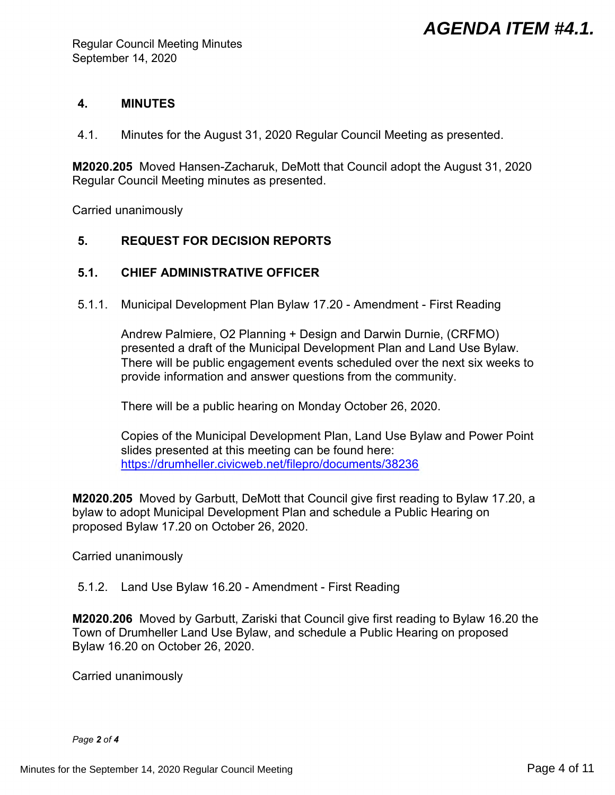### **4. MINUTES**

4.1. Minutes for the August 31, 2020 Regular Council Meeting as presented.

**M2020.205** Moved Hansen-Zacharuk, DeMott that Council adopt the August 31, 2020 Regular Council Meeting minutes as presented.

Carried unanimously

## **5. REQUEST FOR DECISION REPORTS**

## **5.1. CHIEF ADMINISTRATIVE OFFICER**

5.1.1. Municipal Development Plan Bylaw 17.20 - Amendment - First Reading

Andrew Palmiere, O2 Planning + Design and Darwin Durnie, (CRFMO) presented a draft of the Municipal Development Plan and Land Use Bylaw. There will be public engagement events scheduled over the next six weeks to provide information and answer questions from the community.

There will be a public hearing on Monday October 26, 2020.

Copies of the Municipal Development Plan, Land Use Bylaw and Power Point slides presented at this meeting can be found here: <https://drumheller.civicweb.net/filepro/documents/38236>

**M2020.205** Moved by Garbutt, DeMott that Council give first reading to Bylaw 17.20, a bylaw to adopt Municipal Development Plan and schedule a Public Hearing on proposed Bylaw 17.20 on October 26, 2020.

Carried unanimously

5.1.2. Land Use Bylaw 16.20 - Amendment - First Reading

**M2020.206** Moved by Garbutt, Zariski that Council give first reading to Bylaw 16.20 the Town of Drumheller Land Use Bylaw, and schedule a Public Hearing on proposed Bylaw 16.20 on October 26, 2020.

Carried unanimously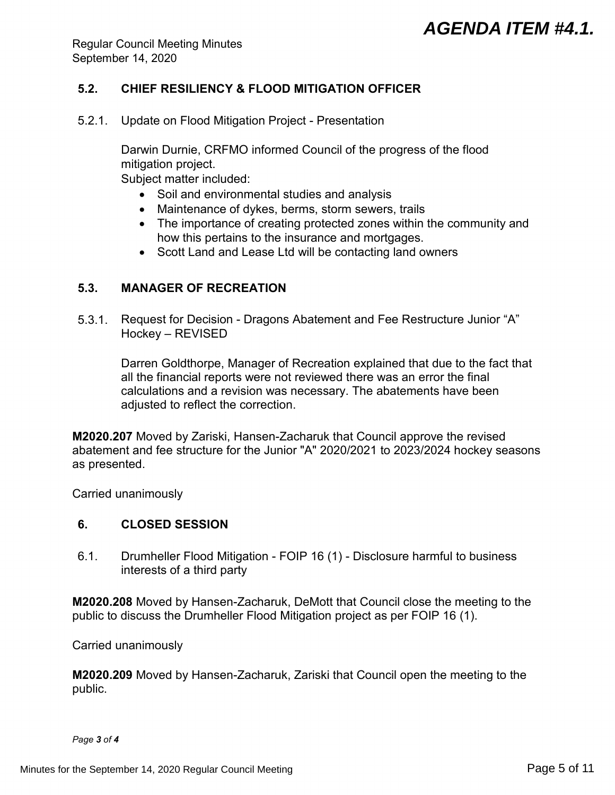Regular Council Meeting Minutes September 14, 2020

## **5.2. CHIEF RESILIENCY & FLOOD MITIGATION OFFICER**

5.2.1. Update on Flood Mitigation Project - Presentation

Darwin Durnie, CRFMO informed Council of the progress of the flood mitigation project.

Subject matter included:

- Soil and environmental studies and analysis
- Maintenance of dykes, berms, storm sewers, trails
- The importance of creating protected zones within the community and how this pertains to the insurance and mortgages.
- Scott Land and Lease Ltd will be contacting land owners

## **5.3. MANAGER OF RECREATION**

5.3.1. Request for Decision - Dragons Abatement and Fee Restructure Junior "A" Hockey – REVISED

Darren Goldthorpe, Manager of Recreation explained that due to the fact that all the financial reports were not reviewed there was an error the final calculations and a revision was necessary. The abatements have been adjusted to reflect the correction.

**M2020.207** Moved by Zariski, Hansen-Zacharuk that Council approve the revised abatement and fee structure for the Junior "A" 2020/2021 to 2023/2024 hockey seasons as presented.

Carried unanimously

### **6. CLOSED SESSION**

6.1. Drumheller Flood Mitigation - FOIP 16 (1) - Disclosure harmful to business interests of a third party

**M2020.208** Moved by Hansen-Zacharuk, DeMott that Council close the meeting to the public to discuss the Drumheller Flood Mitigation project as per FOIP 16 (1).

Carried unanimously

**M2020.209** Moved by Hansen-Zacharuk, Zariski that Council open the meeting to the public.

*Page 3 of 4*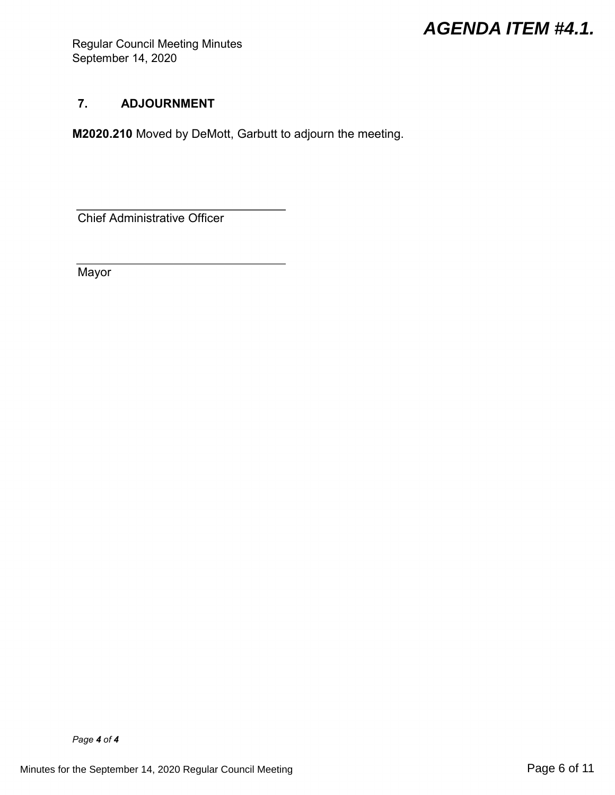Regular Council Meeting Minutes September 14, 2020

## **7. ADJOURNMENT**

**M2020.210** Moved by DeMott, Garbutt to adjourn the meeting.

Chief Administrative Officer

Mayor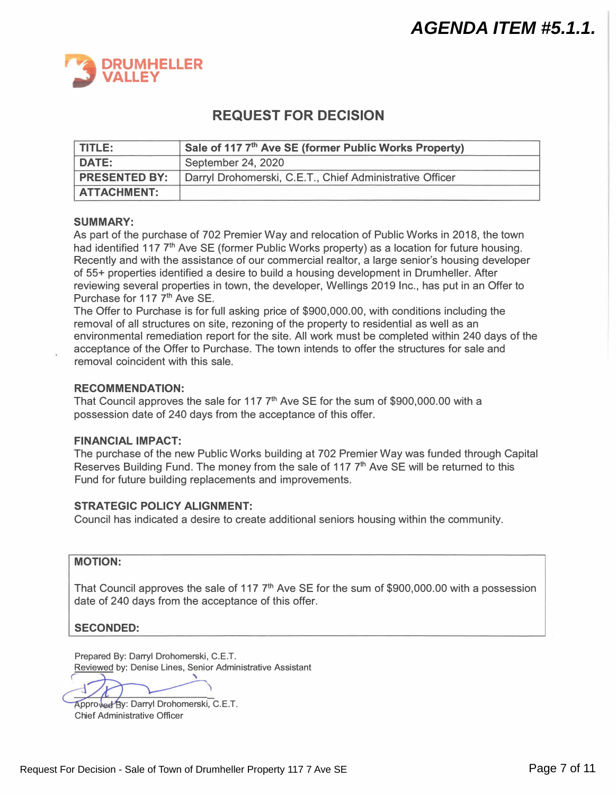<span id="page-6-0"></span>

## **REQUEST FOR DECISION**

| l TITLE: I           | Sale of 117 7th Ave SE (former Public Works Property)    |
|----------------------|----------------------------------------------------------|
| DATE:                | September 24, 2020                                       |
| <b>PRESENTED BY:</b> | Darryl Drohomerski, C.E.T., Chief Administrative Officer |
| <b>ATTACHMENT:</b>   |                                                          |

### **SUMMARY:**

As part of the purchase of 702 Premier Way and relocation of Public Works in 2018, the town had identified 117 7<sup>th</sup> Ave SE (former Public Works property) as a location for future housing. Recently and with the assistance of our commercial realtor, a large senior's housing developer of 55+ properties identified a desire to build a housing development in Drumheller. After reviewing several properties in town, the developer, Wellings 2019 Inc., has put in an Offer to Purchase for 117 7 **th** Ave SE.

The Offer to Purchase is for full asking price of \$900,000.00, with conditions including the removal of all structures on site, rezoning of the property to residential as well as an environmental remediation report for the site. All work must be completed within 240 days of the acceptance of the Offer to Purchase. The town intends to offer the structures for sale and removal coincident with this sale.

### **RECOMMENDATION:**

That Council approves the sale for 117 7 **th** Ave SE for the sum of \$900,000.00 with a possession date of 240 days from the acceptance of this offer.

### **FINANCIAL IMPACT:**

The purchase of the new Public Works building at 702 Premier Way was funded through Capital Reserves Building Fund. The money from the sale of 117 7 **th** Ave SE will be returned to this Fund for future building replacements and improvements.

### **STRATEGIC POLICY ALIGNMENT:**

Council has indicated a desire to create additional seniors housing within the community.

### **MOTION:**

That Council approves the sale of 117 7<sup>th</sup> Ave SE for the sum of \$900,000.00 with a possession date of 240 days from the acceptance of this offer.

### **SECONDED:**

Prepared By: Darryl Drohomerski, C.E.T. Reviewed by: Denise Lines, Senior Administrative Assistant

Approved By: Darryl Drohomerski, C.E.T. Chief Administrative Officer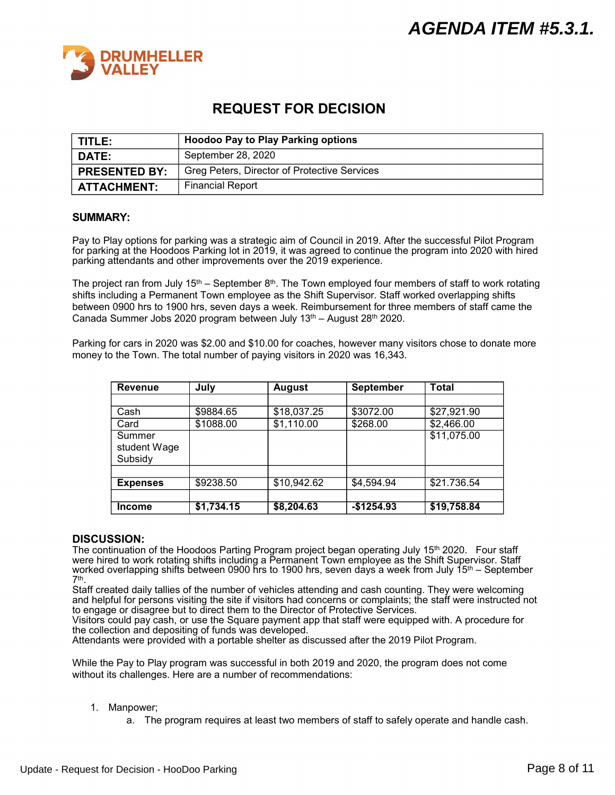<span id="page-7-0"></span>

## **REQUEST FOR DECISION**

| TITLE:               | <b>Hoodoo Pay to Play Parking options</b>    |  |  |
|----------------------|----------------------------------------------|--|--|
| <b>DATE:</b>         | September 28, 2020                           |  |  |
| <b>PRESENTED BY:</b> | Greg Peters, Director of Protective Services |  |  |
| <b>ATTACHMENT:</b>   | <b>Financial Report</b>                      |  |  |

### **SUMMARY:**

Pay to Play options for parking was a strategic aim of Council in 2019. After the successful Pilot Program for parking at the Hoodoos Parking lot in 2019, it was agreed to continue the program into 2020 with hired parking attendants and other improvements over the 2019 experience.

The project ran from July 15<sup>th</sup> – September 8<sup>th</sup>. The Town employed four members of staff to work rotating shifts including a Permanent Town employee as the Shift Supervisor. Staff worked overlapping shifts between 0900 hrs to 1900 hrs, seven days a week. Reimbursement for three members of staff came the Canada Summer Jobs 2020 program between July 13<sup>th</sup> – August 28<sup>th</sup> 2020.

Parking for cars in 2020 was \$2.00 and \$10.00 for coaches, however many visitors chose to donate more money to the Town. The total number of paying visitors in 2020 was 16,343.

| <b>Revenue</b>                    | July       | <b>August</b> | <b>September</b> | Total       |
|-----------------------------------|------------|---------------|------------------|-------------|
|                                   |            |               |                  |             |
| Cash                              | \$9884.65  | \$18,037.25   | \$3072.00        | \$27,921.90 |
| Card                              | \$1088.00  | \$1,110.00    | \$268.00         | \$2,466.00  |
| Summer<br>student Wage<br>Subsidy |            |               |                  | \$11,075.00 |
|                                   |            |               |                  |             |
| <b>Expenses</b>                   | \$9238.50  | \$10,942.62   | \$4,594.94       | \$21.736.54 |
|                                   |            |               |                  |             |
| Income                            | \$1,734.15 | \$8,204.63    | $-$1254.93$      | \$19,758.84 |

### **DISCUSSION:**

The continuation of the Hoodoos Parting Program project began operating July 15<sup>th</sup> 2020. Four staff were hired to work rotating shifts including a Permanent Town employee as the Shift Supervisor. Staff worked overlapping shifts between 0900 hrs to 1900 hrs, seven days a week from July 15<sup>th</sup> – September 7 th .

Staff created daily tallies of the number of vehicles attending and cash counting. They were welcoming and helpful for persons visiting the site if visitors had concerns or complaints; the staff were instructed not to engage or disagree but to direct them to the Director of Protective Services.

Visitors could pay cash, or use the Square payment app that staff were equipped with. A procedure for the collection and depositing of funds was developed.

Attendants were provided with a portable shelter as discussed after the 2019 Pilot Program.

While the Pay to Play program was successful in both 2019 and 2020, the program does not come without its challenges. Here are a number of recommendations:

- 1. Manpower;
	- a. The program requires at least two members of staff to safely operate and handle cash.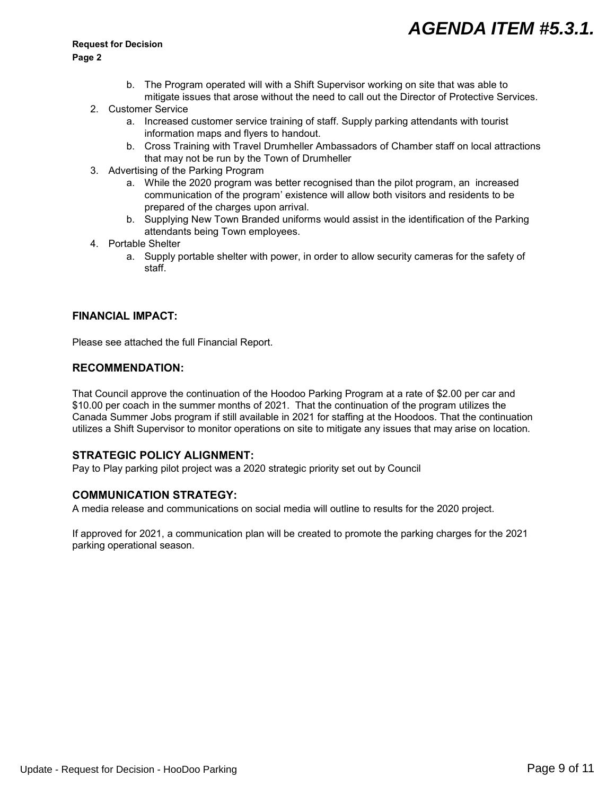# *AGENDA ITEM #5.3.1.*

#### **Request for Decision**

#### **Page 2**

- b. The Program operated will with a Shift Supervisor working on site that was able to mitigate issues that arose without the need to call out the Director of Protective Services.
- 2. Customer Service
	- a. Increased customer service training of staff. Supply parking attendants with tourist information maps and flyers to handout.
	- b. Cross Training with Travel Drumheller Ambassadors of Chamber staff on local attractions that may not be run by the Town of Drumheller
- 3. Advertising of the Parking Program
	- a. While the 2020 program was better recognised than the pilot program, an increased communication of the program' existence will allow both visitors and residents to be prepared of the charges upon arrival.
	- b. Supplying New Town Branded uniforms would assist in the identification of the Parking attendants being Town employees.
- 4. Portable Shelter
	- a. Supply portable shelter with power, in order to allow security cameras for the safety of staff.

### **FINANCIAL IMPACT:**

Please see attached the full Financial Report.

### **RECOMMENDATION:**

That Council approve the continuation of the Hoodoo Parking Program at a rate of \$2.00 per car and \$10.00 per coach in the summer months of 2021. That the continuation of the program utilizes the Canada Summer Jobs program if still available in 2021 for staffing at the Hoodoos. That the continuation utilizes a Shift Supervisor to monitor operations on site to mitigate any issues that may arise on location.

### **STRATEGIC POLICY ALIGNMENT:**

Pay to Play parking pilot project was a 2020 strategic priority set out by Council

### **COMMUNICATION STRATEGY:**

A media release and communications on social media will outline to results for the 2020 project.

If approved for 2021, a communication plan will be created to promote the parking charges for the 2021 parking operational season.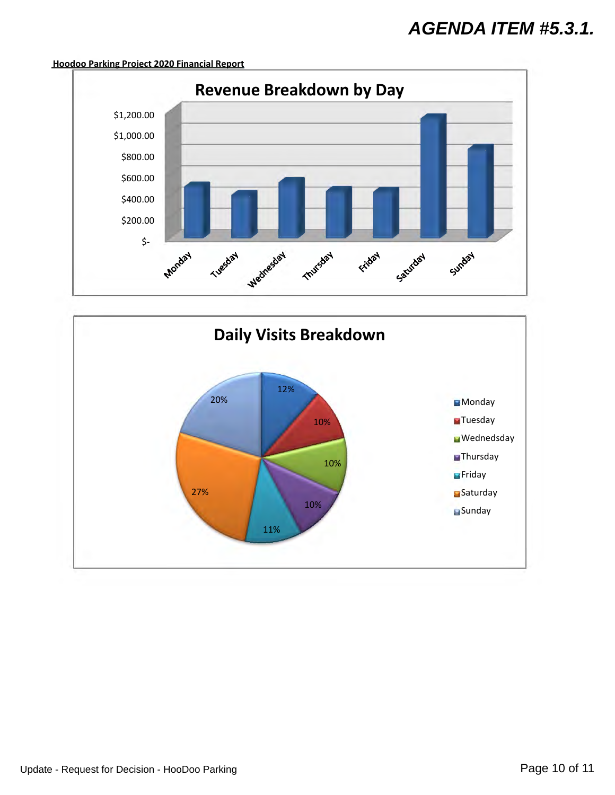## *AGENDA ITEM #5.3.1.*

### **Hoodoo Parking Project 2020 Financial Report**